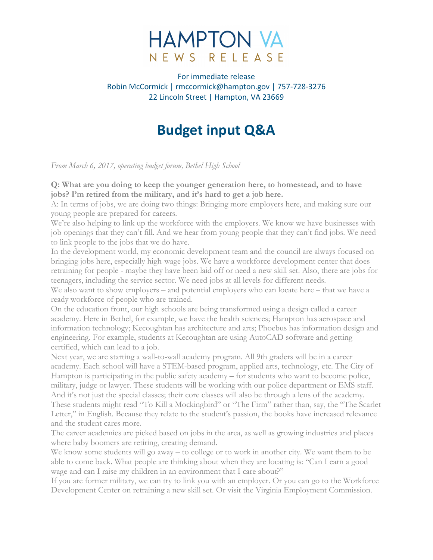# **HAMPTON VA** NEWS RELEASE

For immediate release Robin McCormick | rmccormick@hampton.gov | 757-728-3276 22 Lincoln Street | Hampton, VA 23669

# **Budget input Q&A**

*From March 6, 2017, operating budget forum, Bethel High School*

#### **Q: What are you doing to keep the younger generation here, to homestead, and to have jobs? I'm retired from the military, and it's hard to get a job here.**

A: In terms of jobs, we are doing two things: Bringing more employers here, and making sure our young people are prepared for careers.

We're also helping to link up the workforce with the employers. We know we have businesses with job openings that they can't fill. And we hear from young people that they can't find jobs. We need to link people to the jobs that we do have.

In the development world, my economic development team and the council are always focused on bringing jobs here, especially high-wage jobs. We have a workforce development center that does retraining for people - maybe they have been laid off or need a new skill set. Also, there are jobs for teenagers, including the service sector. We need jobs at all levels for different needs.

We also want to show employers – and potential employers who can locate here – that we have a ready workforce of people who are trained.

On the education front, our high schools are being transformed using a design called a career academy. Here in Bethel, for example, we have the health sciences; Hampton has aerospace and information technology; Kecoughtan has architecture and arts; Phoebus has information design and engineering. For example, students at Kecoughtan are using AutoCAD software and getting certified, which can lead to a job.

Next year, we are starting a wall-to-wall academy program. All 9th graders will be in a career academy. Each school will have a STEM-based program, applied arts, technology, etc. The City of Hampton is participating in the public safety academy – for students who want to become police, military, judge or lawyer. These students will be working with our police department or EMS staff. And it's not just the special classes; their core classes will also be through a lens of the academy. These students might read "To Kill a Mockingbird" or "The Firm" rather than, say, the "The Scarlet Letter," in English. Because they relate to the student's passion, the books have increased relevance and the student cares more.

The career academies are picked based on jobs in the area, as well as growing industries and places where baby boomers are retiring, creating demand.

We know some students will go away – to college or to work in another city. We want them to be able to come back. What people are thinking about when they are locating is: "Can I earn a good wage and can I raise my children in an environment that I care about?"

If you are former military, we can try to link you with an employer. Or you can go to the Workforce Development Center on retraining a new skill set. Or visit the Virginia Employment Commission.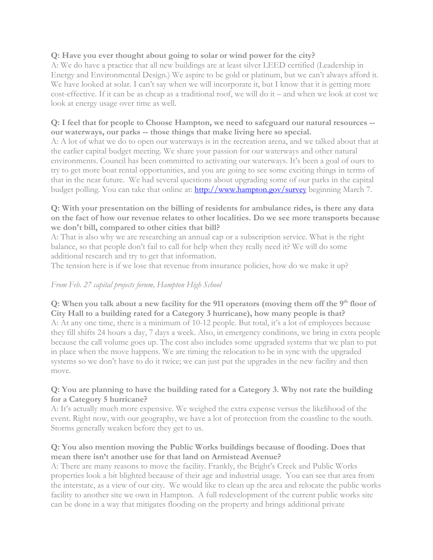# **Q: Have you ever thought about going to solar or wind power for the city?**

A: We do have a practice that all new buildings are at least silver LEED certified (Leadership in Energy and Environmental Design.) We aspire to be gold or platinum, but we can't always afford it. We have looked at solar. I can't say when we will incorporate it, but I know that it is getting more cost-effective. If it can be as cheap as a traditional roof, we will do it – and when we look at cost we look at energy usage over time as well.

# **Q: I feel that for people to Choose Hampton, we need to safeguard our natural resources - our waterways, our parks -- those things that make living here so special.**

A: A lot of what we do to open our waterways is in the recreation arena, and we talked about that at the earlier capital budget meeting. We share your passion for our waterways and other natural environments. Council has been committed to activating our waterways. It's been a goal of ours to try to get more boat rental opportunities, and you are going to see some exciting things in terms of that in the near future. We had several questions about upgrading some of our parks in the capital budget polling. You can take that online at: http://www.hampton.gov/survey beginning March 7.

#### **Q: With your presentation on the billing of residents for ambulance rides, is there any data on the fact of how our revenue relates to other localities. Do we see more transports because we don't bill, compared to other cities that bill?**

A: That is also why we are researching an annual cap or a subscription service. What is the right balance, so that people don't fail to call for help when they really need it? We will do some additional research and try to get that information.

The tension here is if we lose that revenue from insurance policies, how do we make it up?

# *From Feb. 27 capital projects forum, Hampton High School*

# **Q:** When you talk about a new facility for the 911 operators (moving them off the 9<sup>th</sup> floor of **City Hall to a building rated for a Category 3 hurricane), how many people is that?**

A: At any one time, there is a minimum of 10-12 people. But total, it's a lot of employees because they fill shifts 24 hours a day, 7 days a week. Also, in emergency conditions, we bring in extra people because the call volume goes up. The cost also includes some upgraded systems that we plan to put in place when the move happens. We are timing the relocation to be in sync with the upgraded systems so we don't have to do it twice; we can just put the upgrades in the new facility and then move.

#### **Q: You are planning to have the building rated for a Category 3. Why not rate the building for a Category 5 hurricane?**

A: It's actually much more expensive. We weighed the extra expense versus the likelihood of the event. Right now, with our geography, we have a lot of protection from the coastline to the south. Storms generally weaken before they get to us.

#### **Q: You also mention moving the Public Works buildings because of flooding. Does that mean there isn't another use for that land on Armistead Avenue?**

A: There are many reasons to move the facility. Frankly, the Bright's Creek and Public Works properties look a bit blighted because of their age and industrial usage. You can see that area from the interstate, as a view of our city. We would like to clean up the area and relocate the public works facility to another site we own in Hampton. A full redevelopment of the current public works site can be done in a way that mitigates flooding on the property and brings additional private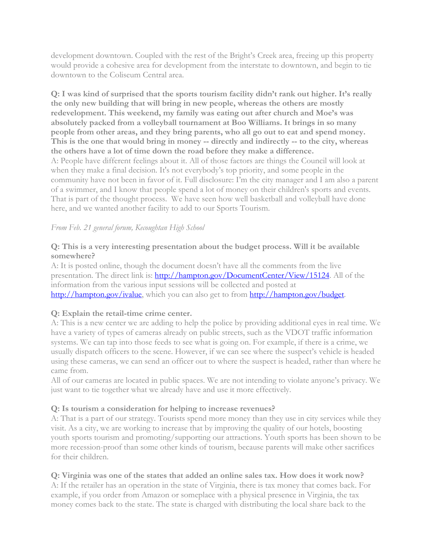development downtown. Coupled with the rest of the Bright's Creek area, freeing up this property would provide a cohesive area for development from the interstate to downtown, and begin to tie downtown to the Coliseum Central area.

**Q: I was kind of surprised that the sports tourism facility didn't rank out higher. It's really the only new building that will bring in new people, whereas the others are mostly redevelopment. This weekend, my family was eating out after church and Moe's was absolutely packed from a volleyball tournament at Boo Williams. It brings in so many people from other areas, and they bring parents, who all go out to eat and spend money. This is the one that would bring in money -- directly and indirectly -- to the city, whereas the others have a lot of time down the road before they make a difference.** A: People have different feelings about it. All of those factors are things the Council will look at when they make a final decision. It's not everybody's top priority, and some people in the community have not been in favor of it. Full disclosure: I'm the city manager and I am also a parent of a swimmer, and I know that people spend a lot of money on their children's sports and events. That is part of the thought process. We have seen how well basketball and volleyball have done here, and we wanted another facility to add to our Sports Tourism.

#### *From Feb. 21 general forum, Kecoughtan High School*

## **Q: This is a very interesting presentation about the budget process. Will it be available somewhere?**

A: It is posted online, though the document doesn't have all the comments from the live presentation. The direct link is: http://hampton.gov/DocumentCenter/View/15124. All of the information from the various input sessions will be collected and posted at http://hampton.gov/ivalue, which you can also get to from http://hampton.gov/budget.

#### **Q: Explain the retail-time crime center.**

A: This is a new center we are adding to help the police by providing additional eyes in real time. We have a variety of types of cameras already on public streets, such as the VDOT traffic information systems. We can tap into those feeds to see what is going on. For example, if there is a crime, we usually dispatch officers to the scene. However, if we can see where the suspect's vehicle is headed using these cameras, we can send an officer out to where the suspect is headed, rather than where he came from.

All of our cameras are located in public spaces. We are not intending to violate anyone's privacy. We just want to tie together what we already have and use it more effectively.

# **Q: Is tourism a consideration for helping to increase revenues?**

A: That is a part of our strategy. Tourists spend more money than they use in city services while they visit. As a city, we are working to increase that by improving the quality of our hotels, boosting youth sports tourism and promoting/supporting our attractions. Youth sports has been shown to be more recession-proof than some other kinds of tourism, because parents will make other sacrifices for their children.

# **Q: Virginia was one of the states that added an online sales tax. How does it work now?**

A: If the retailer has an operation in the state of Virginia, there is tax money that comes back. For example, if you order from Amazon or someplace with a physical presence in Virginia, the tax money comes back to the state. The state is charged with distributing the local share back to the